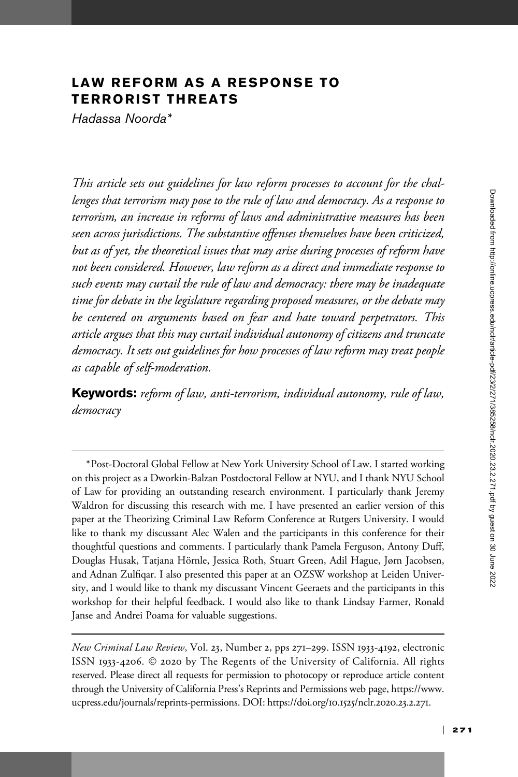## LAW REFORM AS A RESPONSE TO TERRORIST THREATS

Hadassa Noorda\*

This article sets out guidelines for law reform processes to account for the challenges that terrorism may pose to the rule of law and democracy. As a response to terrorism, an increase in reforms of laws and administrative measures has been seen across jurisdictions. The substantive offenses themselves have been criticized, but as of yet, the theoretical issues that may arise during processes of reform have not been considered. However, law reform as a direct and immediate response to such events may curtail the rule of law and democracy: there may be inadequate time for debate in the legislature regarding proposed measures, or the debate may be centered on arguments based on fear and hate toward perpetrators. This article argues that this may curtail individual autonomy of citizens and truncate democracy. It sets out guidelines for how processes of law reform may treat people as capable of self-moderation.

Keywords: reform of law, anti-terrorism, individual autonomy, rule of law, democracy

<sup>\*</sup>Post-Doctoral Global Fellow at New York University School of Law. I started working on this project as a Dworkin-Balzan Postdoctoral Fellow at NYU, and I thank NYU School of Law for providing an outstanding research environment. I particularly thank Jeremy Waldron for discussing this research with me. I have presented an earlier version of this paper at the Theorizing Criminal Law Reform Conference at Rutgers University. I would like to thank my discussant Alec Walen and the participants in this conference for their thoughtful questions and comments. I particularly thank Pamela Ferguson, Antony Duff, Douglas Husak, Tatjana Hörnle, Jessica Roth, Stuart Green, Adil Hague, Jørn Jacobsen, and Adnan Zulfiqar. I also presented this paper at an OZSW workshop at Leiden University, and I would like to thank my discussant Vincent Geeraets and the participants in this workshop for their helpful feedback. I would also like to thank Lindsay Farmer, Ronald Janse and Andrei Poama for valuable suggestions.

New Criminal Law Review, Vol. 23, Number 2, pps 271–299. ISSN 1933-4192, electronic ISSN 1933-4206. © 2020 by The Regents of the University of California. All rights reserved. Please direct all requests for permission to photocopy or reproduce article content through the University of California Press's Reprints and Permissions web page, [https://www.](https://www.ucpress.edu/journals/reprints-permissions) [ucpress.edu/journals/reprints-permissions](https://www.ucpress.edu/journals/reprints-permissions). [DOI: https://doi.org/](https://doi.org/10.1525/nclr.2020.23.2.271)10.1525/nclr.2020.23.2.271.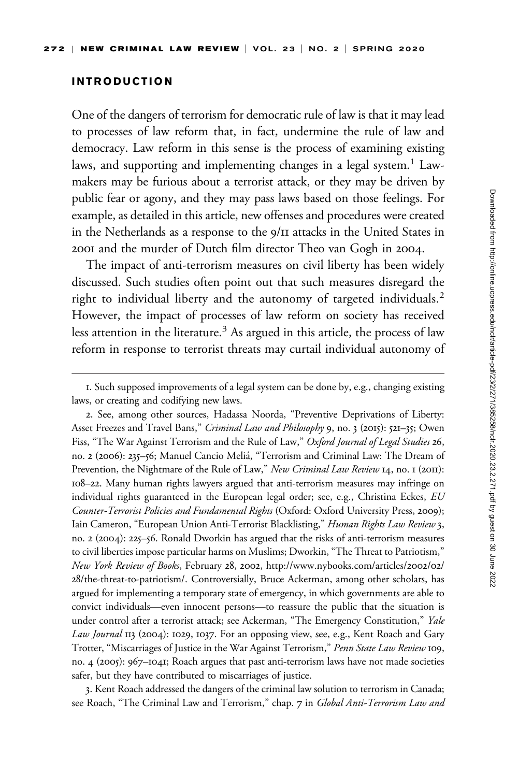#### INTRODUCTION

One of the dangers of terrorism for democratic rule of law is that it may lead to processes of law reform that, in fact, undermine the rule of law and democracy. Law reform in this sense is the process of examining existing laws, and supporting and implementing changes in a legal system.<sup>1</sup> Lawmakers may be furious about a terrorist attack, or they may be driven by public fear or agony, and they may pass laws based on those feelings. For example, as detailed in this article, new offenses and procedures were created in the Netherlands as a response to the 9/11 attacks in the United States in 2001 and the murder of Dutch film director Theo van Gogh in 2004.

The impact of anti-terrorism measures on civil liberty has been widely discussed. Such studies often point out that such measures disregard the right to individual liberty and the autonomy of targeted individuals.<sup>2</sup> However, the impact of processes of law reform on society has received less attention in the literature.<sup>3</sup> As argued in this article, the process of law reform in response to terrorist threats may curtail individual autonomy of

2. See, among other sources, Hadassa Noorda, "Preventive Deprivations of Liberty: Asset Freezes and Travel Bans," Criminal Law and Philosophy 9, no. 3 (2015): 521-35; Owen Fiss, "The War Against Terrorism and the Rule of Law," Oxford Journal of Legal Studies 26, no. 2 (2006): 235–56; Manuel Cancio Melia, "Terrorism and Criminal Law: The Dream of ´ Prevention, the Nightmare of the Rule of Law," New Criminal Law Review 14, no. 1 (2011): 108–22. Many human rights lawyers argued that anti-terrorism measures may infringe on individual rights guaranteed in the European legal order; see, e.g., Christina Eckes, EU Counter-Terrorist Policies and Fundamental Rights (Oxford: Oxford University Press, 2009); Iain Cameron, "European Union Anti-Terrorist Blacklisting," Human Rights Law Review 3, no. 2 (2004): 225–56. Ronald Dworkin has argued that the risks of anti-terrorism measures to civil liberties impose particular harms on Muslims; Dworkin, "The Threat to Patriotism," New York Review of Books, February 28, 2002, [http://www.nybooks.com/articles/](http://www.nybooks.com/articles/2002/02/28/the-threat-to-patriotism/)2002/02/ 28[/the-threat-to-patriotism/](http://www.nybooks.com/articles/2002/02/28/the-threat-to-patriotism/). Controversially, Bruce Ackerman, among other scholars, has argued for implementing a temporary state of emergency, in which governments are able to convict individuals—even innocent persons—to reassure the public that the situation is under control after a terrorist attack; see Ackerman, "The Emergency Constitution," Yale Law Journal II3 (2004): 1029, 1037. For an opposing view, see, e.g., Kent Roach and Gary Trotter, "Miscarriages of Justice in the War Against Terrorism," Penn State Law Review 109, no. 4 (2005): 967–1041; Roach argues that past anti-terrorism laws have not made societies safer, but they have contributed to miscarriages of justice.

3. Kent Roach addressed the dangers of the criminal law solution to terrorism in Canada; see Roach, "The Criminal Law and Terrorism," chap. 7 in Global Anti-Terrorism Law and

<sup>1.</sup> Such supposed improvements of a legal system can be done by, e.g., changing existing laws, or creating and codifying new laws.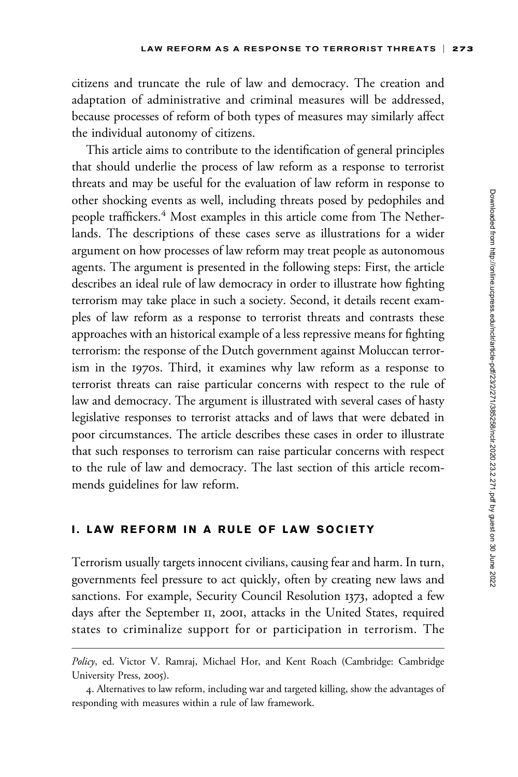citizens and truncate the rule of law and democracy. The creation and adaptation of administrative and criminal measures will be addressed, because processes of reform of both types of measures may similarly affect the individual autonomy of citizens.

This article aims to contribute to the identification of general principles that should underlie the process of law reform as a response to terrorist threats and may be useful for the evaluation of law reform in response to other shocking events as well, including threats posed by pedophiles and people traffickers.<sup>4</sup> Most examples in this article come from The Netherlands. The descriptions of these cases serve as illustrations for a wider argument on how processes of law reform may treat people as autonomous agents. The argument is presented in the following steps: First, the article describes an ideal rule of law democracy in order to illustrate how fighting terrorism may take place in such a society. Second, it details recent examples of law reform as a response to terrorist threats and contrasts these approaches with an historical example of a less repressive means for fighting terrorism: the response of the Dutch government against Moluccan terrorism in the 1970s. Third, it examines why law reform as a response to terrorist threats can raise particular concerns with respect to the rule of law and democracy. The argument is illustrated with several cases of hasty legislative responses to terrorist attacks and of laws that were debated in poor circumstances. The article describes these cases in order to illustrate that such responses to terrorism can raise particular concerns with respect to the rule of law and democracy. The last section of this article recommends guidelines for law reform.

#### I. LAW REFORM IN A RULE OF LAW SOCIETY

Terrorism usually targets innocent civilians, causing fear and harm. In turn, governments feel pressure to act quickly, often by creating new laws and sanctions. For example, Security Council Resolution 1373, adopted a few days after the September 11, 2001, attacks in the United States, required states to criminalize support for or participation in terrorism. The

Policy, ed. Victor V. Ramraj, Michael Hor, and Kent Roach (Cambridge: Cambridge University Press, 2005).

<sup>4.</sup> Alternatives to law reform, including war and targeted killing, show the advantages of responding with measures within a rule of law framework.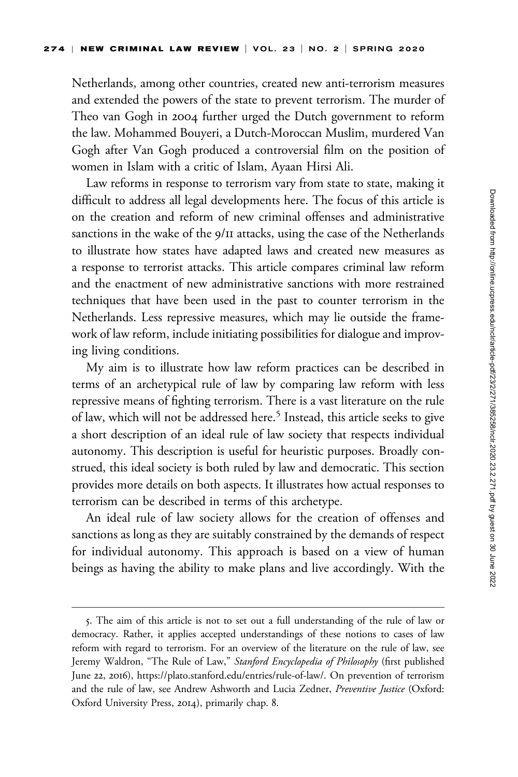Netherlands, among other countries, created new anti-terrorism measures and extended the powers of the state to prevent terrorism. The murder of Theo van Gogh in 2004 further urged the Dutch government to reform the law. Mohammed Bouyeri, a Dutch-Moroccan Muslim, murdered Van Gogh after Van Gogh produced a controversial film on the position of women in Islam with a critic of Islam, Ayaan Hirsi Ali.

Law reforms in response to terrorism vary from state to state, making it difficult to address all legal developments here. The focus of this article is on the creation and reform of new criminal offenses and administrative sanctions in the wake of the 9/11 attacks, using the case of the Netherlands to illustrate how states have adapted laws and created new measures as a response to terrorist attacks. This article compares criminal law reform and the enactment of new administrative sanctions with more restrained techniques that have been used in the past to counter terrorism in the Netherlands. Less repressive measures, which may lie outside the framework of law reform, include initiating possibilities for dialogue and improving living conditions.

My aim is to illustrate how law reform practices can be described in terms of an archetypical rule of law by comparing law reform with less repressive means of fighting terrorism. There is a vast literature on the rule of law, which will not be addressed here.<sup>5</sup> Instead, this article seeks to give a short description of an ideal rule of law society that respects individual autonomy. This description is useful for heuristic purposes. Broadly construed, this ideal society is both ruled by law and democratic. This section provides more details on both aspects. It illustrates how actual responses to terrorism can be described in terms of this archetype.

An ideal rule of law society allows for the creation of offenses and sanctions as long as they are suitably constrained by the demands of respect for individual autonomy. This approach is based on a view of human beings as having the ability to make plans and live accordingly. With the

<sup>5.</sup> The aim of this article is not to set out a full understanding of the rule of law or democracy. Rather, it applies accepted understandings of these notions to cases of law reform with regard to terrorism. For an overview of the literature on the rule of law, see Jeremy Waldron, "The Rule of Law," Stanford Encyclopedia of Philosophy (first published June 22, 2016), [https://plato.stanford.edu/entries/rule-of-law/.](https://plato.stanford.edu/entries/rule-of-law/) On prevention of terrorism and the rule of law, see Andrew Ashworth and Lucia Zedner, Preventive Justice (Oxford: Oxford University Press, 2014), primarily chap. 8.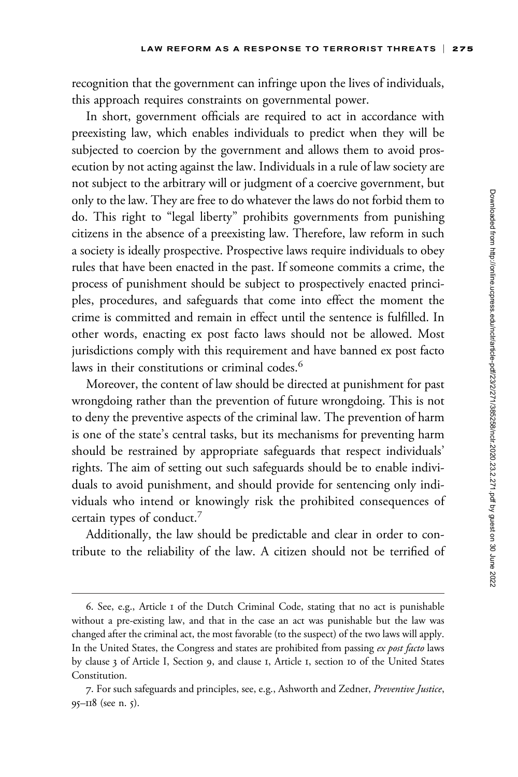recognition that the government can infringe upon the lives of individuals, this approach requires constraints on governmental power.

In short, government officials are required to act in accordance with preexisting law, which enables individuals to predict when they will be subjected to coercion by the government and allows them to avoid prosecution by not acting against the law. Individuals in a rule of law society are not subject to the arbitrary will or judgment of a coercive government, but only to the law. They are free to do whatever the laws do not forbid them to do. This right to "legal liberty" prohibits governments from punishing citizens in the absence of a preexisting law. Therefore, law reform in such a society is ideally prospective. Prospective laws require individuals to obey rules that have been enacted in the past. If someone commits a crime, the process of punishment should be subject to prospectively enacted principles, procedures, and safeguards that come into effect the moment the crime is committed and remain in effect until the sentence is fulfilled. In other words, enacting ex post facto laws should not be allowed. Most jurisdictions comply with this requirement and have banned ex post facto laws in their constitutions or criminal codes.<sup>6</sup>

Moreover, the content of law should be directed at punishment for past wrongdoing rather than the prevention of future wrongdoing. This is not to deny the preventive aspects of the criminal law. The prevention of harm is one of the state's central tasks, but its mechanisms for preventing harm should be restrained by appropriate safeguards that respect individuals' rights. The aim of setting out such safeguards should be to enable individuals to avoid punishment, and should provide for sentencing only individuals who intend or knowingly risk the prohibited consequences of certain types of conduct.<sup>7</sup>

Additionally, the law should be predictable and clear in order to contribute to the reliability of the law. A citizen should not be terrified of

<sup>6.</sup> See, e.g., Article 1 of the Dutch Criminal Code, stating that no act is punishable without a pre-existing law, and that in the case an act was punishable but the law was changed after the criminal act, the most favorable (to the suspect) of the two laws will apply. In the United States, the Congress and states are prohibited from passing ex post facto laws by clause 3 of Article I, Section 9, and clause 1, Article 1, section 10 of the United States Constitution.

<sup>7.</sup> For such safeguards and principles, see, e.g., Ashworth and Zedner, Preventive Justice, 95–118 (see n. 5).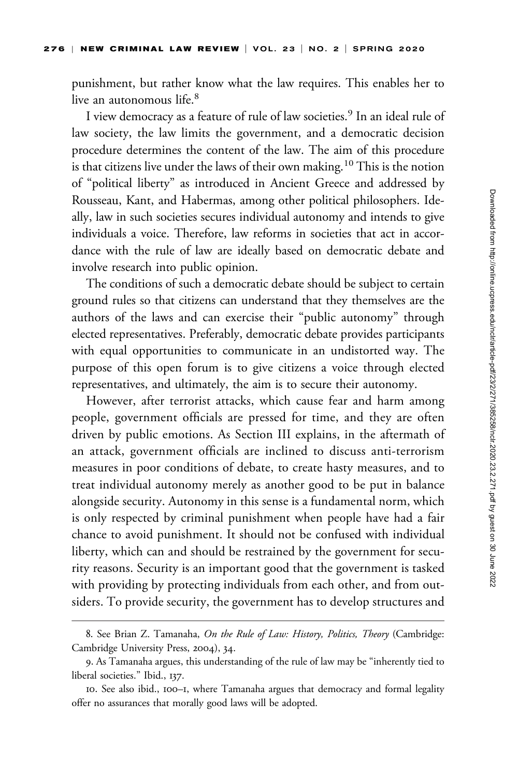punishment, but rather know what the law requires. This enables her to live an autonomous life.<sup>8</sup>

I view democracy as a feature of rule of law societies.<sup>9</sup> In an ideal rule of law society, the law limits the government, and a democratic decision procedure determines the content of the law. The aim of this procedure is that citizens live under the laws of their own making.<sup>10</sup> This is the notion of "political liberty" as introduced in Ancient Greece and addressed by Rousseau, Kant, and Habermas, among other political philosophers. Ideally, law in such societies secures individual autonomy and intends to give individuals a voice. Therefore, law reforms in societies that act in accordance with the rule of law are ideally based on democratic debate and involve research into public opinion.

The conditions of such a democratic debate should be subject to certain ground rules so that citizens can understand that they themselves are the authors of the laws and can exercise their "public autonomy" through elected representatives. Preferably, democratic debate provides participants with equal opportunities to communicate in an undistorted way. The purpose of this open forum is to give citizens a voice through elected representatives, and ultimately, the aim is to secure their autonomy.

However, after terrorist attacks, which cause fear and harm among people, government officials are pressed for time, and they are often driven by public emotions. As Section III explains, in the aftermath of an attack, government officials are inclined to discuss anti-terrorism measures in poor conditions of debate, to create hasty measures, and to treat individual autonomy merely as another good to be put in balance alongside security. Autonomy in this sense is a fundamental norm, which is only respected by criminal punishment when people have had a fair chance to avoid punishment. It should not be confused with individual liberty, which can and should be restrained by the government for security reasons. Security is an important good that the government is tasked with providing by protecting individuals from each other, and from outsiders. To provide security, the government has to develop structures and

<sup>8.</sup> See Brian Z. Tamanaha, On the Rule of Law: History, Politics, Theory (Cambridge: Cambridge University Press, 2004), 34.

<sup>9.</sup> As Tamanaha argues, this understanding of the rule of law may be "inherently tied to liberal societies." Ibid., 137.

<sup>10.</sup> See also ibid., 100–1, where Tamanaha argues that democracy and formal legality offer no assurances that morally good laws will be adopted.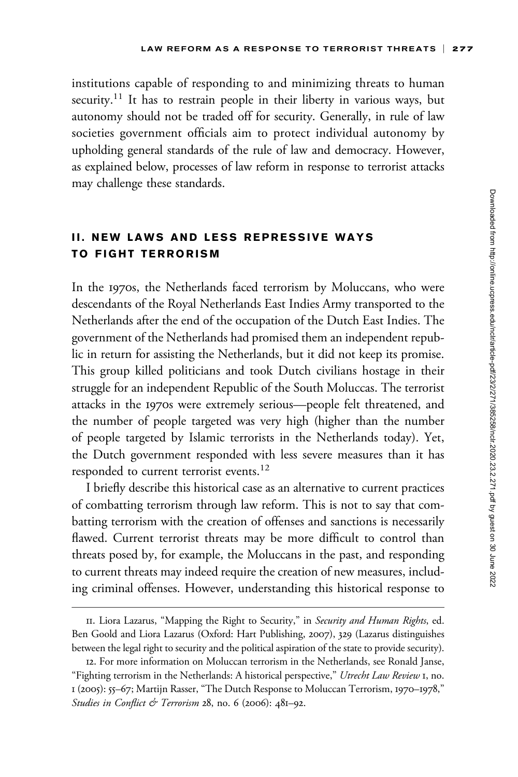institutions capable of responding to and minimizing threats to human security.<sup>11</sup> It has to restrain people in their liberty in various ways, but autonomy should not be traded off for security. Generally, in rule of law societies government officials aim to protect individual autonomy by upholding general standards of the rule of law and democracy. However, as explained below, processes of law reform in response to terrorist attacks may challenge these standards.

# II. NEW LAWS AND LESS REPRESSIVE WAYS TO FIGHT TERRORISM

In the 1970s, the Netherlands faced terrorism by Moluccans, who were descendants of the Royal Netherlands East Indies Army transported to the Netherlands after the end of the occupation of the Dutch East Indies. The government of the Netherlands had promised them an independent republic in return for assisting the Netherlands, but it did not keep its promise. This group killed politicians and took Dutch civilians hostage in their struggle for an independent Republic of the South Moluccas. The terrorist attacks in the 1970s were extremely serious—people felt threatened, and the number of people targeted was very high (higher than the number of people targeted by Islamic terrorists in the Netherlands today). Yet, the Dutch government responded with less severe measures than it has responded to current terrorist events.<sup>12</sup>

I briefly describe this historical case as an alternative to current practices of combatting terrorism through law reform. This is not to say that combatting terrorism with the creation of offenses and sanctions is necessarily flawed. Current terrorist threats may be more difficult to control than threats posed by, for example, the Moluccans in the past, and responding to current threats may indeed require the creation of new measures, including criminal offenses. However, understanding this historical response to

<sup>11.</sup> Liora Lazarus, "Mapping the Right to Security," in Security and Human Rights, ed. Ben Goold and Liora Lazarus (Oxford: Hart Publishing, 2007), 329 (Lazarus distinguishes between the legal right to security and the political aspiration of the state to provide security).

<sup>12.</sup> For more information on Moluccan terrorism in the Netherlands, see Ronald Janse, "Fighting terrorism in the Netherlands: A historical perspective," Utrecht Law Review 1, no. 1 (2005): 55–67; Martijn Rasser, "The Dutch Response to Moluccan Terrorism, 1970–1978," Studies in Conflict & Terrorism 28, no. 6 (2006): 481-92.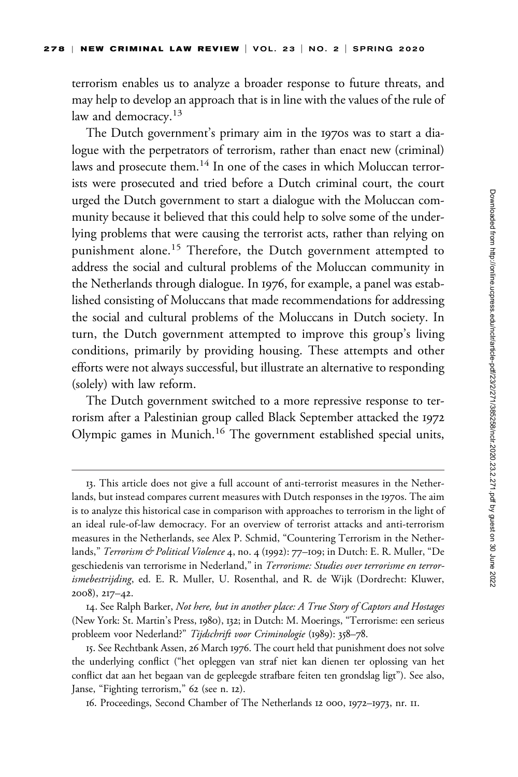terrorism enables us to analyze a broader response to future threats, and may help to develop an approach that is in line with the values of the rule of law and democracy.<sup>13</sup>

The Dutch government's primary aim in the 1970s was to start a dialogue with the perpetrators of terrorism, rather than enact new (criminal) laws and prosecute them.<sup>14</sup> In one of the cases in which Moluccan terrorists were prosecuted and tried before a Dutch criminal court, the court urged the Dutch government to start a dialogue with the Moluccan community because it believed that this could help to solve some of the underlying problems that were causing the terrorist acts, rather than relying on punishment alone.<sup>15</sup> Therefore, the Dutch government attempted to address the social and cultural problems of the Moluccan community in the Netherlands through dialogue. In 1976, for example, a panel was established consisting of Moluccans that made recommendations for addressing the social and cultural problems of the Moluccans in Dutch society. In turn, the Dutch government attempted to improve this group's living conditions, primarily by providing housing. These attempts and other efforts were not always successful, but illustrate an alternative to responding (solely) with law reform.

The Dutch government switched to a more repressive response to terrorism after a Palestinian group called Black September attacked the 1972 Olympic games in Munich.<sup>16</sup> The government established special units,

<sup>13.</sup> This article does not give a full account of anti-terrorist measures in the Netherlands, but instead compares current measures with Dutch responses in the 1970s. The aim is to analyze this historical case in comparison with approaches to terrorism in the light of an ideal rule-of-law democracy. For an overview of terrorist attacks and anti-terrorism measures in the Netherlands, see Alex P. Schmid, "Countering Terrorism in the Netherlands," Terrorism & Political Violence 4, no. 4 (1992): 77–109; in Dutch: E. R. Muller, "De geschiedenis van terrorisme in Nederland," in Terrorisme: Studies over terrorisme en terrorismebestrijding, ed. E. R. Muller, U. Rosenthal, and R. de Wijk (Dordrecht: Kluwer, 2008), 217–42.

<sup>14.</sup> See Ralph Barker, Not here, but in another place: A True Story of Captors and Hostages (New York: St. Martin's Press, 1980), 132; in Dutch: M. Moerings, "Terrorisme: een serieus probleem voor Nederland?" Tijdschrift voor Criminologie (1989): 358-78.

<sup>15.</sup> See Rechtbank Assen, 26 March 1976. The court held that punishment does not solve the underlying conflict ("het opleggen van straf niet kan dienen ter oplossing van het conflict dat aan het begaan van de gepleegde strafbare feiten ten grondslag ligt"). See also, Janse, "Fighting terrorism," 62 (see n. 12).

<sup>16.</sup> Proceedings, Second Chamber of The Netherlands 12 000, 1972–1973, nr. 11.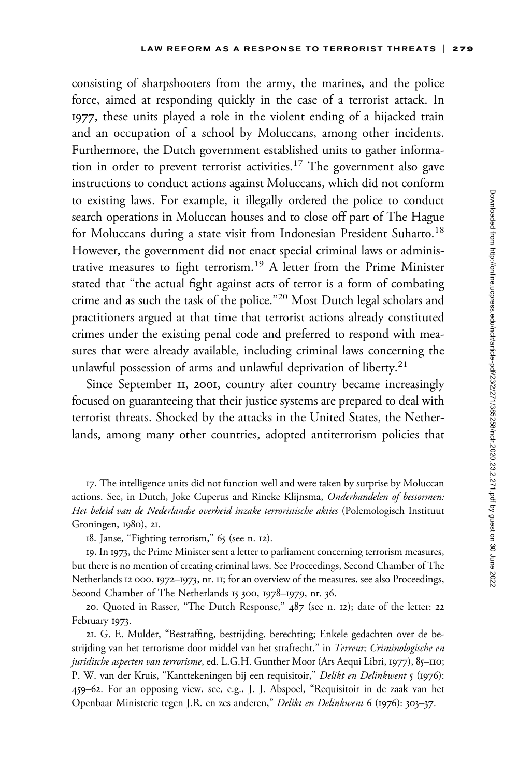consisting of sharpshooters from the army, the marines, and the police force, aimed at responding quickly in the case of a terrorist attack. In 1977, these units played a role in the violent ending of a hijacked train and an occupation of a school by Moluccans, among other incidents. Furthermore, the Dutch government established units to gather information in order to prevent terrorist activities.<sup>17</sup> The government also gave instructions to conduct actions against Moluccans, which did not conform to existing laws. For example, it illegally ordered the police to conduct search operations in Moluccan houses and to close off part of The Hague for Moluccans during a state visit from Indonesian President Suharto.<sup>18</sup> However, the government did not enact special criminal laws or administrative measures to fight terrorism.<sup>19</sup> A letter from the Prime Minister stated that "the actual fight against acts of terror is a form of combating crime and as such the task of the police."<sup>20</sup> Most Dutch legal scholars and practitioners argued at that time that terrorist actions already constituted crimes under the existing penal code and preferred to respond with measures that were already available, including criminal laws concerning the unlawful possession of arms and unlawful deprivation of liberty.<sup>21</sup>

Since September II, 2001, country after country became increasingly focused on guaranteeing that their justice systems are prepared to deal with terrorist threats. Shocked by the attacks in the United States, the Netherlands, among many other countries, adopted antiterrorism policies that

<sup>17.</sup> The intelligence units did not function well and were taken by surprise by Moluccan actions. See, in Dutch, Joke Cuperus and Rineke Klijnsma, Onderhandelen of bestormen: Het beleid van de Nederlandse overheid inzake terroristische akties (Polemologisch Instituut Groningen, 1980), 21.

<sup>18.</sup> Janse, "Fighting terrorism," 65 (see n. 12).

<sup>19.</sup> In 1973, the Prime Minister sent a letter to parliament concerning terrorism measures, but there is no mention of creating criminal laws. See Proceedings, Second Chamber of The Netherlands 12 000, 1972–1973, nr. 11; for an overview of the measures, see also Proceedings, Second Chamber of The Netherlands 15 300, 1978–1979, nr. 36.

<sup>20.</sup> Quoted in Rasser, "The Dutch Response," 487 (see n. 12); date of the letter: 22 February 1973.

<sup>21.</sup> G. E. Mulder, "Bestraffing, bestrijding, berechting; Enkele gedachten over de bestrijding van het terrorisme door middel van het strafrecht," in Terreur; Criminologische en juridische aspecten van terrorisme, ed. L.G.H. Gunther Moor (Ars Aequi Libri, 1977), 85-110; P. W. van der Kruis, "Kanttekeningen bij een requisitoir," Delikt en Delinkwent 5 (1976): 459–62. For an opposing view, see, e.g., J. J. Abspoel, "Requisitoir in de zaak van het Openbaar Ministerie tegen J.R. en zes anderen," Delikt en Delinkwent 6 (1976): 303–37.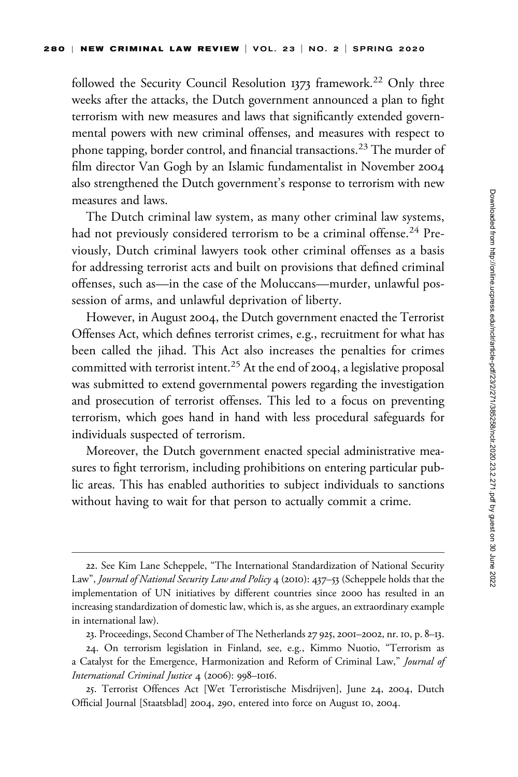followed the Security Council Resolution 1373 framework.<sup>22</sup> Only three weeks after the attacks, the Dutch government announced a plan to fight terrorism with new measures and laws that significantly extended governmental powers with new criminal offenses, and measures with respect to phone tapping, border control, and financial transactions.<sup>23</sup> The murder of film director Van Gogh by an Islamic fundamentalist in November 2004 also strengthened the Dutch government's response to terrorism with new measures and laws.

The Dutch criminal law system, as many other criminal law systems, had not previously considered terrorism to be a criminal offense.<sup>24</sup> Previously, Dutch criminal lawyers took other criminal offenses as a basis for addressing terrorist acts and built on provisions that defined criminal offenses, such as—in the case of the Moluccans—murder, unlawful possession of arms, and unlawful deprivation of liberty.

However, in August 2004, the Dutch government enacted the Terrorist Offenses Act, which defines terrorist crimes, e.g., recruitment for what has been called the jihad. This Act also increases the penalties for crimes committed with terrorist intent.<sup>25</sup> At the end of 2004, a legislative proposal was submitted to extend governmental powers regarding the investigation and prosecution of terrorist offenses. This led to a focus on preventing terrorism, which goes hand in hand with less procedural safeguards for individuals suspected of terrorism.

Moreover, the Dutch government enacted special administrative measures to fight terrorism, including prohibitions on entering particular public areas. This has enabled authorities to subject individuals to sanctions without having to wait for that person to actually commit a crime.

<sup>22.</sup> See Kim Lane Scheppele, "The International Standardization of National Security Law", Journal of National Security Law and Policy 4 (2010): 437–53 (Scheppele holds that the implementation of UN initiatives by different countries since 2000 has resulted in an increasing standardization of domestic law, which is, as she argues, an extraordinary example in international law).

<sup>23.</sup> Proceedings, Second Chamber of The Netherlands 27 925, 2001–2002, nr. 10, p. 8–13.

<sup>24.</sup> On terrorism legislation in Finland, see, e.g., Kimmo Nuotio, "Terrorism as a Catalyst for the Emergence, Harmonization and Reform of Criminal Law," Journal of International Criminal Justice 4 (2006): 998–1016.

<sup>25.</sup> Terrorist Offences Act [Wet Terroristische Misdrijven], June 24, 2004, Dutch Official Journal [Staatsblad] 2004, 290, entered into force on August 10, 2004.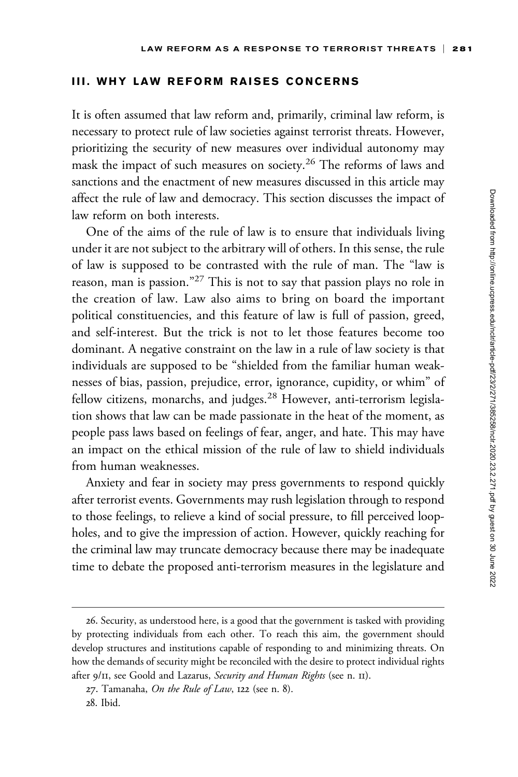### III. WHY LAW REFORM RAISES CONCERNS

It is often assumed that law reform and, primarily, criminal law reform, is necessary to protect rule of law societies against terrorist threats. However, prioritizing the security of new measures over individual autonomy may mask the impact of such measures on society.<sup>26</sup> The reforms of laws and sanctions and the enactment of new measures discussed in this article may affect the rule of law and democracy. This section discusses the impact of law reform on both interests.

One of the aims of the rule of law is to ensure that individuals living under it are not subject to the arbitrary will of others. In this sense, the rule of law is supposed to be contrasted with the rule of man. The "law is reason, man is passion."<sup>27</sup> This is not to say that passion plays no role in the creation of law. Law also aims to bring on board the important political constituencies, and this feature of law is full of passion, greed, and self-interest. But the trick is not to let those features become too dominant. A negative constraint on the law in a rule of law society is that individuals are supposed to be "shielded from the familiar human weaknesses of bias, passion, prejudice, error, ignorance, cupidity, or whim" of fellow citizens, monarchs, and judges.<sup>28</sup> However, anti-terrorism legislation shows that law can be made passionate in the heat of the moment, as people pass laws based on feelings of fear, anger, and hate. This may have an impact on the ethical mission of the rule of law to shield individuals from human weaknesses.

Anxiety and fear in society may press governments to respond quickly after terrorist events. Governments may rush legislation through to respond to those feelings, to relieve a kind of social pressure, to fill perceived loopholes, and to give the impression of action. However, quickly reaching for the criminal law may truncate democracy because there may be inadequate time to debate the proposed anti-terrorism measures in the legislature and

<sup>26.</sup> Security, as understood here, is a good that the government is tasked with providing by protecting individuals from each other. To reach this aim, the government should develop structures and institutions capable of responding to and minimizing threats. On how the demands of security might be reconciled with the desire to protect individual rights after 9/11, see Goold and Lazarus, Security and Human Rights (see n. II).

<sup>27.</sup> Tamanaha, On the Rule of Law,  $122$  (see n. 8).

<sup>28.</sup> Ibid.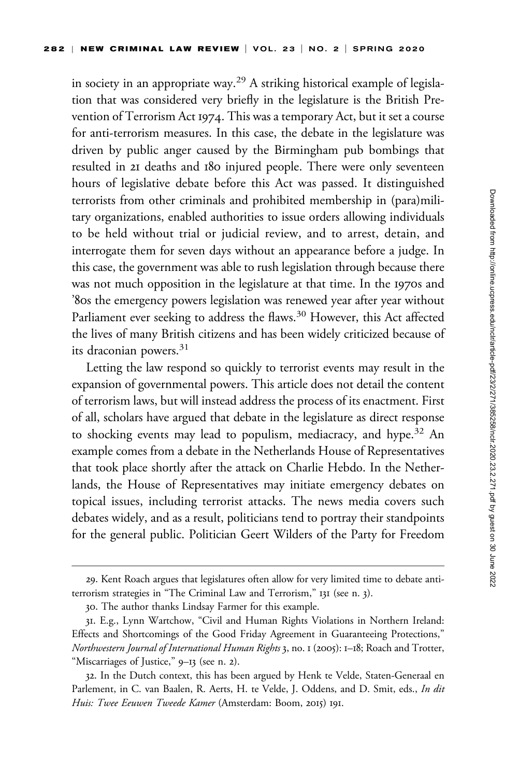in society in an appropriate way.<sup>29</sup> A striking historical example of legislation that was considered very briefly in the legislature is the British Prevention of Terrorism Act 1974. This was a temporary Act, but it set a course for anti-terrorism measures. In this case, the debate in the legislature was driven by public anger caused by the Birmingham pub bombings that resulted in 21 deaths and 180 injured people. There were only seventeen hours of legislative debate before this Act was passed. It distinguished terrorists from other criminals and prohibited membership in (para)military organizations, enabled authorities to issue orders allowing individuals to be held without trial or judicial review, and to arrest, detain, and interrogate them for seven days without an appearance before a judge. In this case, the government was able to rush legislation through because there was not much opposition in the legislature at that time. In the 1970s and '80s the emergency powers legislation was renewed year after year without Parliament ever seeking to address the flaws.<sup>30</sup> However, this Act affected the lives of many British citizens and has been widely criticized because of its draconian powers. $31$ 

Letting the law respond so quickly to terrorist events may result in the expansion of governmental powers. This article does not detail the content of terrorism laws, but will instead address the process of its enactment. First of all, scholars have argued that debate in the legislature as direct response to shocking events may lead to populism, mediacracy, and hype.<sup>32</sup> An example comes from a debate in the Netherlands House of Representatives that took place shortly after the attack on Charlie Hebdo. In the Netherlands, the House of Representatives may initiate emergency debates on topical issues, including terrorist attacks. The news media covers such debates widely, and as a result, politicians tend to portray their standpoints for the general public. Politician Geert Wilders of the Party for Freedom

<sup>29.</sup> Kent Roach argues that legislatures often allow for very limited time to debate antiterrorism strategies in "The Criminal Law and Terrorism," 131 (see n. 3).

<sup>30.</sup> The author thanks Lindsay Farmer for this example.

<sup>31.</sup> E.g., Lynn Wartchow, "Civil and Human Rights Violations in Northern Ireland: Effects and Shortcomings of the Good Friday Agreement in Guaranteeing Protections," Northwestern Journal of International Human Rights 3, no. 1 (2005): 1–18; Roach and Trotter, "Miscarriages of Justice," 9–13 (see n. 2).

<sup>32.</sup> In the Dutch context, this has been argued by Henk te Velde, Staten-Generaal en Parlement, in C. van Baalen, R. Aerts, H. te Velde, J. Oddens, and D. Smit, eds., In dit Huis: Twee Eeuwen Tweede Kamer (Amsterdam: Boom, 2015) 191.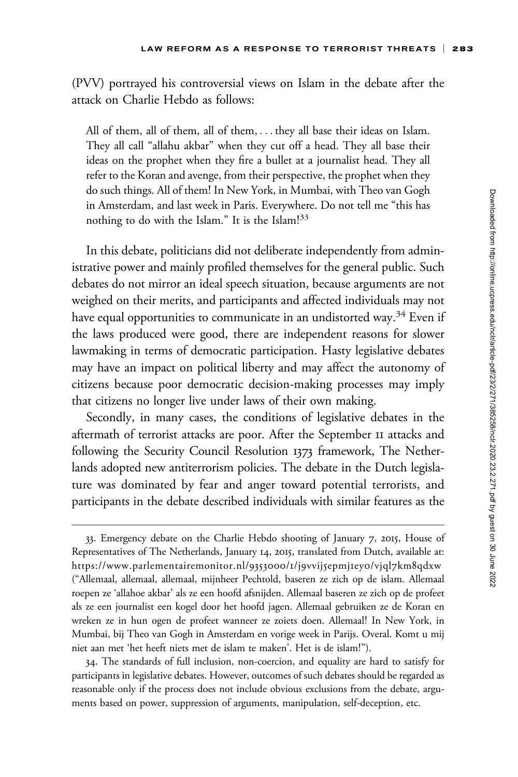(PVV) portrayed his controversial views on Islam in the debate after the attack on Charlie Hebdo as follows:

All of them, all of them, all of them, ... they all base their ideas on Islam. They all call "allahu akbar" when they cut off a head. They all base their ideas on the prophet when they fire a bullet at a journalist head. They all refer to the Koran and avenge, from their perspective, the prophet when they do such things. All of them! In New York, in Mumbai, with Theo van Gogh in Amsterdam, and last week in Paris. Everywhere. Do not tell me "this has nothing to do with the Islam." It is the Islam!<sup>33</sup>

In this debate, politicians did not deliberate independently from administrative power and mainly profiled themselves for the general public. Such debates do not mirror an ideal speech situation, because arguments are not weighed on their merits, and participants and affected individuals may not have equal opportunities to communicate in an undistorted way.<sup>34</sup> Even if the laws produced were good, there are independent reasons for slower lawmaking in terms of democratic participation. Hasty legislative debates may have an impact on political liberty and may affect the autonomy of citizens because poor democratic decision-making processes may imply that citizens no longer live under laws of their own making.

Secondly, in many cases, the conditions of legislative debates in the aftermath of terrorist attacks are poor. After the September 11 attacks and following the Security Council Resolution 1373 framework, The Netherlands adopted new antiterrorism policies. The debate in the Dutch legislature was dominated by fear and anger toward potential terrorists, and participants in the debate described individuals with similar features as the

34. The standards of full inclusion, non-coercion, and equality are hard to satisfy for participants in legislative debates. However, outcomes of such debates should be regarded as reasonable only if the process does not include obvious exclusions from the debate, arguments based on power, suppression of arguments, manipulation, self-deception, etc.

<sup>33.</sup> Emergency debate on the Charlie Hebdo shooting of January 7, 2015, House of Representatives of The Netherlands, January 14, 2015, translated from Dutch, available at: [https://www.parlementairemonitor.nl/](https://www.parlementairemonitor.nl/9353000/1/j9vvij5epmj1ey0/vjql7km8qdxw)9353000/1/j9vvij5epmj1ey0/vjql7km8qdxw ("Allemaal, allemaal, allemaal, mijnheer Pechtold, baseren ze zich op de islam. Allemaal roepen ze 'allahoe akbar' als ze een hoofd afsnijden. Allemaal baseren ze zich op de profeet als ze een journalist een kogel door het hoofd jagen. Allemaal gebruiken ze de Koran en wreken ze in hun ogen de profeet wanneer ze zoiets doen. Allemaal! In New York, in Mumbai, bij Theo van Gogh in Amsterdam en vorige week in Parijs. Overal. Komt u mij niet aan met 'het heeft niets met de islam te maken'. Het is de islam!").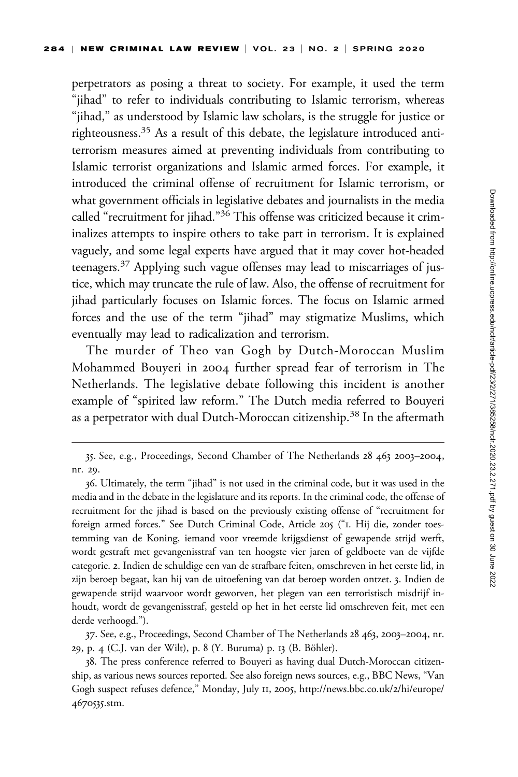perpetrators as posing a threat to society. For example, it used the term "jihad" to refer to individuals contributing to Islamic terrorism, whereas "jihad," as understood by Islamic law scholars, is the struggle for justice or righteousness.35 As a result of this debate, the legislature introduced antiterrorism measures aimed at preventing individuals from contributing to Islamic terrorist organizations and Islamic armed forces. For example, it introduced the criminal offense of recruitment for Islamic terrorism, or what government officials in legislative debates and journalists in the media called "recruitment for jihad."36 This offense was criticized because it criminalizes attempts to inspire others to take part in terrorism. It is explained vaguely, and some legal experts have argued that it may cover hot-headed teenagers.37 Applying such vague offenses may lead to miscarriages of justice, which may truncate the rule of law. Also, the offense of recruitment for jihad particularly focuses on Islamic forces. The focus on Islamic armed forces and the use of the term "jihad" may stigmatize Muslims, which eventually may lead to radicalization and terrorism.

The murder of Theo van Gogh by Dutch-Moroccan Muslim Mohammed Bouyeri in 2004 further spread fear of terrorism in The Netherlands. The legislative debate following this incident is another example of "spirited law reform." The Dutch media referred to Bouyeri as a perpetrator with dual Dutch-Moroccan citizenship.<sup>38</sup> In the aftermath

37. See, e.g., Proceedings, Second Chamber of The Netherlands 28 463, 2003–2004, nr. 29, p. 4 (C.J. van der Wilt), p. 8 (Y. Buruma) p. 13 (B. Böhler).

<sup>35.</sup> See, e.g., Proceedings, Second Chamber of The Netherlands 28 463 2003–2004, nr. 29.

<sup>36.</sup> Ultimately, the term "jihad" is not used in the criminal code, but it was used in the media and in the debate in the legislature and its reports. In the criminal code, the offense of recruitment for the jihad is based on the previously existing offense of "recruitment for foreign armed forces." See Dutch Criminal Code, Article 205 ("1. Hij die, zonder toestemming van de Koning, iemand voor vreemde krijgsdienst of gewapende strijd werft, wordt gestraft met gevangenisstraf van ten hoogste vier jaren of geldboete van de vijfde categorie. 2. Indien de schuldige een van de strafbare feiten, omschreven in het eerste lid, in zijn beroep begaat, kan hij van de uitoefening van dat beroep worden ontzet. 3. Indien de gewapende strijd waarvoor wordt geworven, het plegen van een terroristisch misdrijf inhoudt, wordt de gevangenisstraf, gesteld op het in het eerste lid omschreven feit, met een derde verhoogd.").

<sup>38.</sup> The press conference referred to Bouyeri as having dual Dutch-Moroccan citizenship, as various news sources reported. See also foreign news sources, e.g., BBC News, "Van Gogh suspect refuses defence," Monday, July 11, 2005, [http://news.bbc.co.uk/](http://news.bbc.co.uk/2/hi/europe/4670535.stm)2/hi/europe/ [4670535](http://news.bbc.co.uk/2/hi/europe/4670535.stm).stm.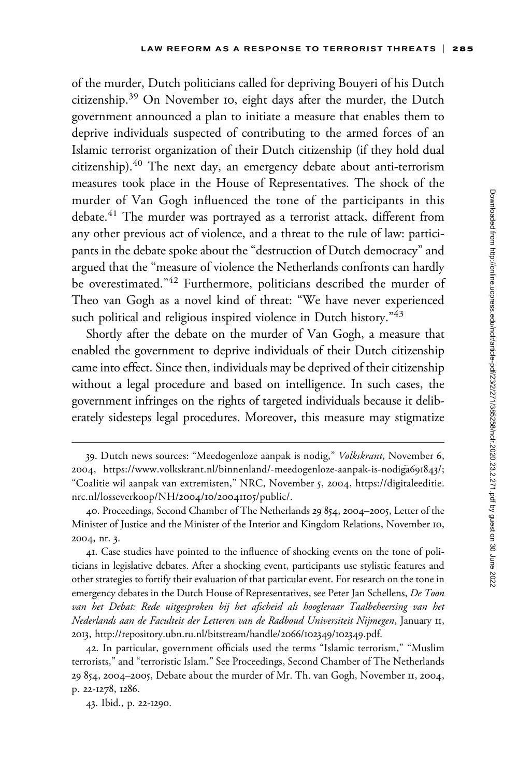of the murder, Dutch politicians called for depriving Bouyeri of his Dutch citizenship.<sup>39</sup> On November 10, eight days after the murder, the Dutch government announced a plan to initiate a measure that enables them to deprive individuals suspected of contributing to the armed forces of an Islamic terrorist organization of their Dutch citizenship (if they hold dual citizenship).40 The next day, an emergency debate about anti-terrorism measures took place in the House of Representatives. The shock of the murder of Van Gogh influenced the tone of the participants in this debate.<sup>41</sup> The murder was portrayed as a terrorist attack, different from any other previous act of violence, and a threat to the rule of law: participants in the debate spoke about the "destruction of Dutch democracy" and argued that the "measure of violence the Netherlands confronts can hardly be overestimated."42 Furthermore, politicians described the murder of Theo van Gogh as a novel kind of threat: "We have never experienced such political and religious inspired violence in Dutch history."43

Shortly after the debate on the murder of Van Gogh, a measure that enabled the government to deprive individuals of their Dutch citizenship came into effect. Since then, individuals may be deprived of their citizenship without a legal procedure and based on intelligence. In such cases, the government infringes on the rights of targeted individuals because it deliberately sidesteps legal procedures. Moreover, this measure may stigmatize

41. Case studies have pointed to the influence of shocking events on the tone of politicians in legislative debates. After a shocking event, participants use stylistic features and other strategies to fortify their evaluation of that particular event. For research on the tone in emergency debates in the Dutch House of Representatives, see Peter Jan Schellens, De Toon van het Debat: Rede uitgesproken bij het afscheid als hoogleraar Taalbeheersing van het Nederlands aan de Faculteit der Letteren van de Radboud Universiteit Nijmegen, January 11, 2013, [http://repository.ubn.ru.nl/bitstream/handle/](http://repository.ubn.ru.nl/bitstream/handle/2066/102349/102349.pdf)2066/102349/102349.pdf.

42. In particular, government officials used the terms "Islamic terrorism," "Muslim terrorists," and "terroristic Islam." See Proceedings, Second Chamber of The Netherlands 29 854, 2004–2005, Debate about the murder of Mr. Th. van Gogh, November 11, 2004, p. 22-1278, 1286.

43. Ibid., p. 22-1290.

<sup>39.</sup> Dutch news sources: "Meedogenloze aanpak is nodig," Volkskrant, November 6, 2004, [https://www.volkskrant.nl/binnenland/-meedogenloze-aanpak-is-nodig](https://www.volkskrant.nl/binnenland/-meedogenloze-aanpak-is-nodig˜a691843/)a[691843](https://www.volkskrant.nl/binnenland/-meedogenloze-aanpak-is-nodig˜a691843/)/; "Coalitie wil aanpak van extremisten," NRC, November 5, 2004, [https://digitaleeditie.](https://digitaleeditie.nrc.nl/losseverkoop/NH/2004/10/20041105/public/) [nrc.nl/losseverkoop/NH/](https://digitaleeditie.nrc.nl/losseverkoop/NH/2004/10/20041105/public/)2004/10/20041105/public/.

<sup>40.</sup> Proceedings, Second Chamber of The Netherlands 29 854, 2004–2005, Letter of the Minister of Justice and the Minister of the Interior and Kingdom Relations, November 10, 2004, nr. 3.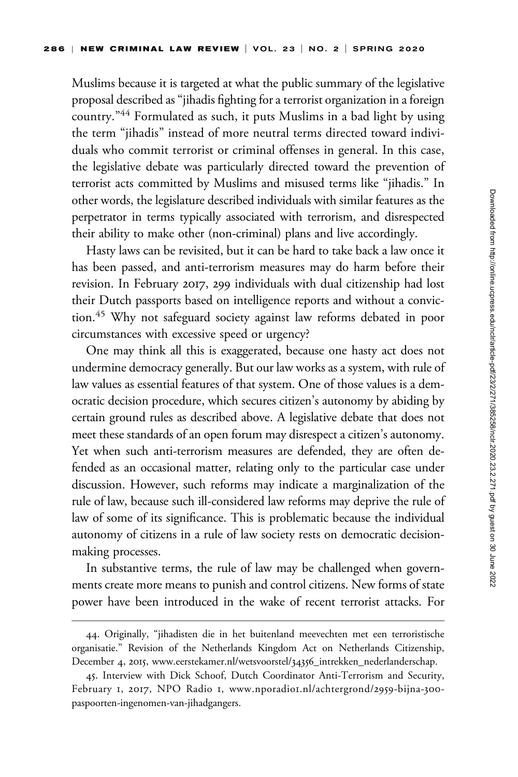Muslims because it is targeted at what the public summary of the legislative proposal described as "jihadis fighting for a terrorist organization in a foreign country."<sup>44</sup> Formulated as such, it puts Muslims in a bad light by using the term "jihadis" instead of more neutral terms directed toward individuals who commit terrorist or criminal offenses in general. In this case, the legislative debate was particularly directed toward the prevention of terrorist acts committed by Muslims and misused terms like "jihadis." In other words, the legislature described individuals with similar features as the perpetrator in terms typically associated with terrorism, and disrespected their ability to make other (non-criminal) plans and live accordingly.

Hasty laws can be revisited, but it can be hard to take back a law once it has been passed, and anti-terrorism measures may do harm before their revision. In February 2017, 299 individuals with dual citizenship had lost their Dutch passports based on intelligence reports and without a conviction.<sup>45</sup> Why not safeguard society against law reforms debated in poor circumstances with excessive speed or urgency?

One may think all this is exaggerated, because one hasty act does not undermine democracy generally. But our law works as a system, with rule of law values as essential features of that system. One of those values is a democratic decision procedure, which secures citizen's autonomy by abiding by certain ground rules as described above. A legislative debate that does not meet these standards of an open forum may disrespect a citizen's autonomy. Yet when such anti-terrorism measures are defended, they are often defended as an occasional matter, relating only to the particular case under discussion. However, such reforms may indicate a marginalization of the rule of law, because such ill-considered law reforms may deprive the rule of law of some of its significance. This is problematic because the individual autonomy of citizens in a rule of law society rests on democratic decisionmaking processes.

In substantive terms, the rule of law may be challenged when governments create more means to punish and control citizens. New forms of state power have been introduced in the wake of recent terrorist attacks. For

<sup>44.</sup> Originally, "jihadisten die in het buitenland meevechten met een terroristische organisatie." Revision of the Netherlands Kingdom Act on Netherlands Citizenship, December 4, 2015, [www.eerstekamer.nl/wetsvoorstel/](www.eerstekamer.nl/wetsvoorstel/34356_intrekken_nederlanderschap)34356\_intrekken\_nederlanderschap.

<sup>45.</sup> Interview with Dick Schoof, Dutch Coordinator Anti-Terrorism and Security, February 1, 2017, NPO Radio 1, www.nporadio1[.nl/achtergrond/](www.nporadio1.nl/achtergrond/2959-bijna-300-paspoorten-ingenomen-van-jihadgangers)2959-bijna-300 [paspoorten-ingenomen-van-jihadgangers.](www.nporadio1.nl/achtergrond/2959-bijna-300-paspoorten-ingenomen-van-jihadgangers)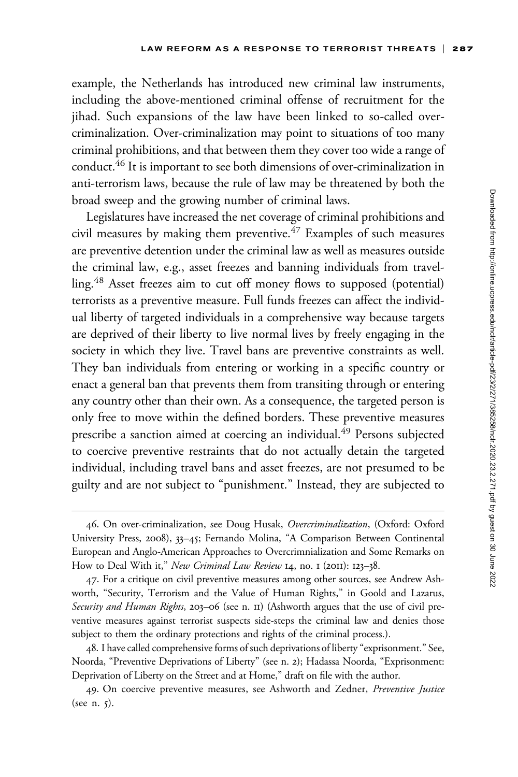example, the Netherlands has introduced new criminal law instruments, including the above-mentioned criminal offense of recruitment for the jihad. Such expansions of the law have been linked to so-called overcriminalization. Over-criminalization may point to situations of too many criminal prohibitions, and that between them they cover too wide a range of conduct.<sup>46</sup> It is important to see both dimensions of over-criminalization in anti-terrorism laws, because the rule of law may be threatened by both the broad sweep and the growing number of criminal laws.

Legislatures have increased the net coverage of criminal prohibitions and civil measures by making them preventive.<sup> $47$ </sup> Examples of such measures are preventive detention under the criminal law as well as measures outside the criminal law, e.g., asset freezes and banning individuals from travelling.<sup>48</sup> Asset freezes aim to cut off money flows to supposed (potential) terrorists as a preventive measure. Full funds freezes can affect the individual liberty of targeted individuals in a comprehensive way because targets are deprived of their liberty to live normal lives by freely engaging in the society in which they live. Travel bans are preventive constraints as well. They ban individuals from entering or working in a specific country or enact a general ban that prevents them from transiting through or entering any country other than their own. As a consequence, the targeted person is only free to move within the defined borders. These preventive measures prescribe a sanction aimed at coercing an individual.<sup>49</sup> Persons subjected to coercive preventive restraints that do not actually detain the targeted individual, including travel bans and asset freezes, are not presumed to be guilty and are not subject to "punishment." Instead, they are subjected to

<sup>46.</sup> On over-criminalization, see Doug Husak, Overcriminalization, (Oxford: Oxford University Press, 2008), 33–45; Fernando Molina, "A Comparison Between Continental European and Anglo-American Approaches to Overcrimnialization and Some Remarks on How to Deal With it," New Criminal Law Review 14, no. 1 (2011): 123-38.

<sup>47.</sup> For a critique on civil preventive measures among other sources, see Andrew Ashworth, "Security, Terrorism and the Value of Human Rights," in Goold and Lazarus, Security and Human Rights, 203-06 (see n. II) (Ashworth argues that the use of civil preventive measures against terrorist suspects side-steps the criminal law and denies those subject to them the ordinary protections and rights of the criminal process.).

<sup>48.</sup> I have called comprehensive forms of such deprivations of liberty "exprisonment." See, Noorda, "Preventive Deprivations of Liberty" (see n. 2); Hadassa Noorda, "Exprisonment: Deprivation of Liberty on the Street and at Home," draft on file with the author.

<sup>49.</sup> On coercive preventive measures, see Ashworth and Zedner, Preventive Justice (see n. 5).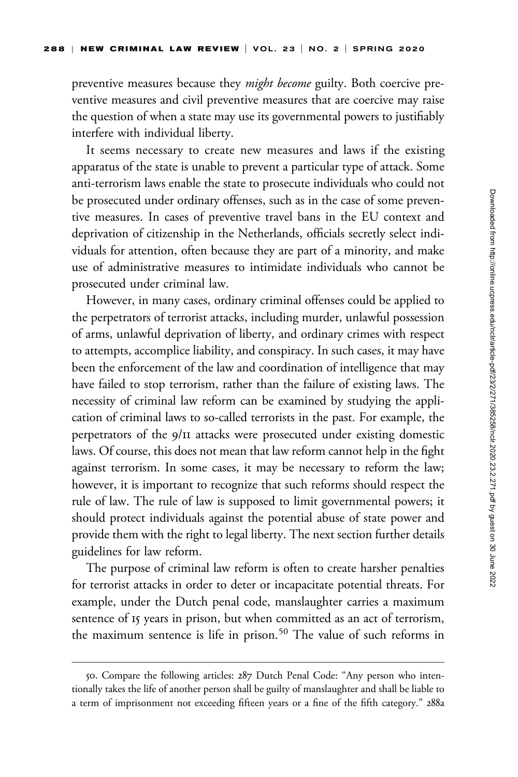preventive measures because they *might become* guilty. Both coercive preventive measures and civil preventive measures that are coercive may raise the question of when a state may use its governmental powers to justifiably interfere with individual liberty.

It seems necessary to create new measures and laws if the existing apparatus of the state is unable to prevent a particular type of attack. Some anti-terrorism laws enable the state to prosecute individuals who could not be prosecuted under ordinary offenses, such as in the case of some preventive measures. In cases of preventive travel bans in the EU context and deprivation of citizenship in the Netherlands, officials secretly select individuals for attention, often because they are part of a minority, and make use of administrative measures to intimidate individuals who cannot be prosecuted under criminal law.

However, in many cases, ordinary criminal offenses could be applied to the perpetrators of terrorist attacks, including murder, unlawful possession of arms, unlawful deprivation of liberty, and ordinary crimes with respect to attempts, accomplice liability, and conspiracy. In such cases, it may have been the enforcement of the law and coordination of intelligence that may have failed to stop terrorism, rather than the failure of existing laws. The necessity of criminal law reform can be examined by studying the application of criminal laws to so-called terrorists in the past. For example, the perpetrators of the 9/11 attacks were prosecuted under existing domestic laws. Of course, this does not mean that law reform cannot help in the fight against terrorism. In some cases, it may be necessary to reform the law; however, it is important to recognize that such reforms should respect the rule of law. The rule of law is supposed to limit governmental powers; it should protect individuals against the potential abuse of state power and provide them with the right to legal liberty. The next section further details guidelines for law reform.

The purpose of criminal law reform is often to create harsher penalties for terrorist attacks in order to deter or incapacitate potential threats. For example, under the Dutch penal code, manslaughter carries a maximum sentence of 15 years in prison, but when committed as an act of terrorism, the maximum sentence is life in prison.<sup>50</sup> The value of such reforms in

<sup>50.</sup> Compare the following articles: 287 Dutch Penal Code: "Any person who intentionally takes the life of another person shall be guilty of manslaughter and shall be liable to a term of imprisonment not exceeding fifteen years or a fine of the fifth category." 288a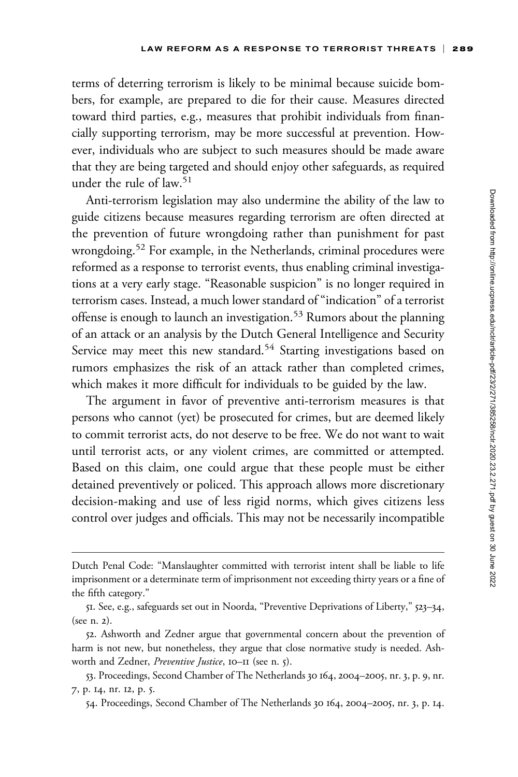terms of deterring terrorism is likely to be minimal because suicide bombers, for example, are prepared to die for their cause. Measures directed toward third parties, e.g., measures that prohibit individuals from financially supporting terrorism, may be more successful at prevention. However, individuals who are subject to such measures should be made aware that they are being targeted and should enjoy other safeguards, as required under the rule of law.<sup>51</sup>

Anti-terrorism legislation may also undermine the ability of the law to guide citizens because measures regarding terrorism are often directed at the prevention of future wrongdoing rather than punishment for past wrongdoing.<sup>52</sup> For example, in the Netherlands, criminal procedures were reformed as a response to terrorist events, thus enabling criminal investigations at a very early stage. "Reasonable suspicion" is no longer required in terrorism cases. Instead, a much lower standard of "indication" of a terrorist offense is enough to launch an investigation.<sup>53</sup> Rumors about the planning of an attack or an analysis by the Dutch General Intelligence and Security Service may meet this new standard.<sup>54</sup> Starting investigations based on rumors emphasizes the risk of an attack rather than completed crimes, which makes it more difficult for individuals to be guided by the law.

The argument in favor of preventive anti-terrorism measures is that persons who cannot (yet) be prosecuted for crimes, but are deemed likely to commit terrorist acts, do not deserve to be free. We do not want to wait until terrorist acts, or any violent crimes, are committed or attempted. Based on this claim, one could argue that these people must be either detained preventively or policed. This approach allows more discretionary decision-making and use of less rigid norms, which gives citizens less control over judges and officials. This may not be necessarily incompatible

Dutch Penal Code: "Manslaughter committed with terrorist intent shall be liable to life imprisonment or a determinate term of imprisonment not exceeding thirty years or a fine of the fifth category."

<sup>51.</sup> See, e.g., safeguards set out in Noorda, "Preventive Deprivations of Liberty," 523–34, (see n. 2).

<sup>52.</sup> Ashworth and Zedner argue that governmental concern about the prevention of harm is not new, but nonetheless, they argue that close normative study is needed. Ashworth and Zedner, *Preventive Justice*, 10–11 (see n. 5).

<sup>53.</sup> Proceedings, Second Chamber of The Netherlands 30 164, 2004–2005, nr. 3, p. 9, nr. 7, p. 14, nr. 12, p. 5.

<sup>54.</sup> Proceedings, Second Chamber of The Netherlands 30 164, 2004–2005, nr. 3, p. 14.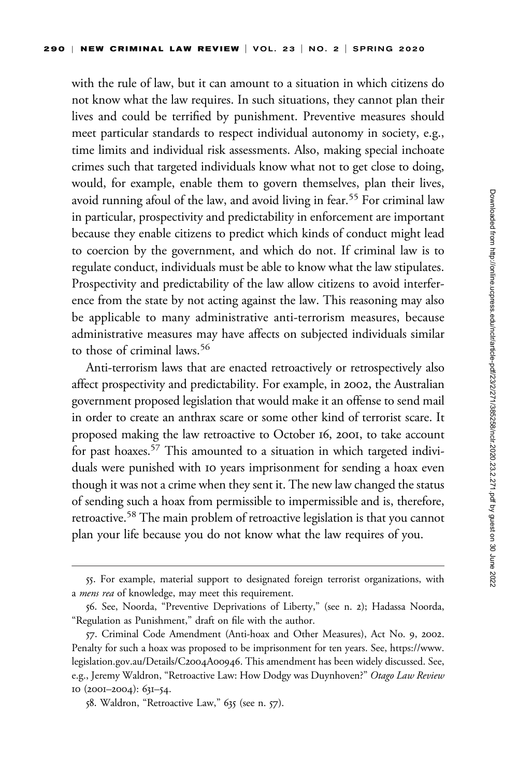with the rule of law, but it can amount to a situation in which citizens do not know what the law requires. In such situations, they cannot plan their lives and could be terrified by punishment. Preventive measures should meet particular standards to respect individual autonomy in society, e.g., time limits and individual risk assessments. Also, making special inchoate crimes such that targeted individuals know what not to get close to doing, would, for example, enable them to govern themselves, plan their lives, avoid running afoul of the law, and avoid living in fear.<sup>55</sup> For criminal law in particular, prospectivity and predictability in enforcement are important because they enable citizens to predict which kinds of conduct might lead to coercion by the government, and which do not. If criminal law is to regulate conduct, individuals must be able to know what the law stipulates. Prospectivity and predictability of the law allow citizens to avoid interference from the state by not acting against the law. This reasoning may also be applicable to many administrative anti-terrorism measures, because administrative measures may have affects on subjected individuals similar to those of criminal laws.<sup>56</sup>

Anti-terrorism laws that are enacted retroactively or retrospectively also affect prospectivity and predictability. For example, in 2002, the Australian government proposed legislation that would make it an offense to send mail in order to create an anthrax scare or some other kind of terrorist scare. It proposed making the law retroactive to October 16, 2001, to take account for past hoaxes.57 This amounted to a situation in which targeted individuals were punished with 10 years imprisonment for sending a hoax even though it was not a crime when they sent it. The new law changed the status of sending such a hoax from permissible to impermissible and is, therefore, retroactive.58 The main problem of retroactive legislation is that you cannot plan your life because you do not know what the law requires of you.

<sup>55.</sup> For example, material support to designated foreign terrorist organizations, with a *mens rea* of knowledge, may meet this requirement.

<sup>56.</sup> See, Noorda, "Preventive Deprivations of Liberty," (see n. 2); Hadassa Noorda, "Regulation as Punishment," draft on file with the author.

<sup>57.</sup> Criminal Code Amendment (Anti-hoax and Other Measures), Act No. 9, 2002. Penalty for such a hoax was proposed to be imprisonment for ten years. See, [https://www.](https://www.legislation.gov.au/Details/C2004A00946) [legislation.gov.au/Details/C](https://www.legislation.gov.au/Details/C2004A00946)2004A00946. This amendment has been widely discussed. See, e.g., Jeremy Waldron, "Retroactive Law: How Dodgy was Duynhoven?" Otago Law Review 10 (2001–2004): 631–54.

<sup>58.</sup> Waldron, "Retroactive Law," 635 (see n. 57).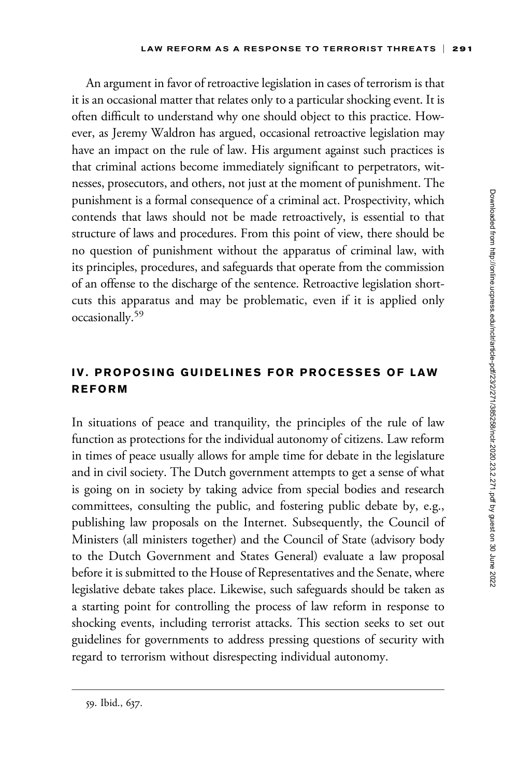An argument in favor of retroactive legislation in cases of terrorism is that it is an occasional matter that relates only to a particular shocking event. It is often difficult to understand why one should object to this practice. However, as Jeremy Waldron has argued, occasional retroactive legislation may have an impact on the rule of law. His argument against such practices is that criminal actions become immediately significant to perpetrators, witnesses, prosecutors, and others, not just at the moment of punishment. The punishment is a formal consequence of a criminal act. Prospectivity, which contends that laws should not be made retroactively, is essential to that structure of laws and procedures. From this point of view, there should be no question of punishment without the apparatus of criminal law, with its principles, procedures, and safeguards that operate from the commission of an offense to the discharge of the sentence. Retroactive legislation shortcuts this apparatus and may be problematic, even if it is applied only occasionally.59

# IV. PROPOSING GUIDELINES FOR PROCESSES OF LAW REFORM

In situations of peace and tranquility, the principles of the rule of law function as protections for the individual autonomy of citizens. Law reform in times of peace usually allows for ample time for debate in the legislature and in civil society. The Dutch government attempts to get a sense of what is going on in society by taking advice from special bodies and research committees, consulting the public, and fostering public debate by, e.g., publishing law proposals on the Internet. Subsequently, the Council of Ministers (all ministers together) and the Council of State (advisory body to the Dutch Government and States General) evaluate a law proposal before it is submitted to the House of Representatives and the Senate, where legislative debate takes place. Likewise, such safeguards should be taken as a starting point for controlling the process of law reform in response to shocking events, including terrorist attacks. This section seeks to set out guidelines for governments to address pressing questions of security with regard to terrorism without disrespecting individual autonomy.

<sup>59.</sup> Ibid., 637.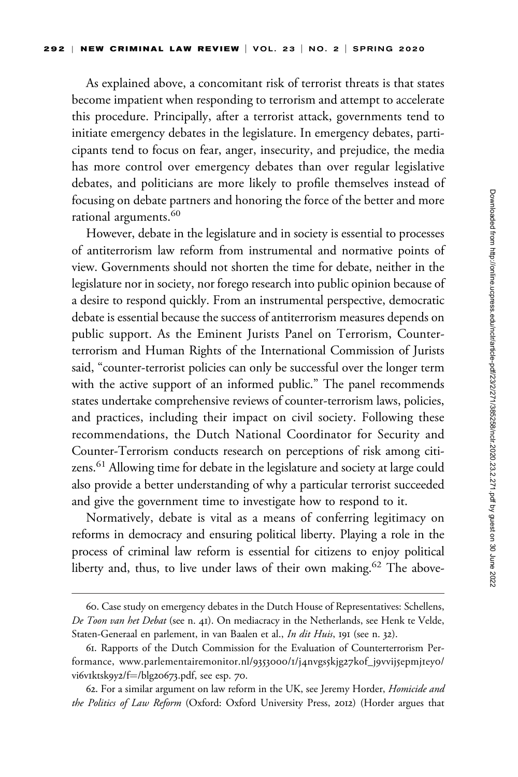As explained above, a concomitant risk of terrorist threats is that states become impatient when responding to terrorism and attempt to accelerate this procedure. Principally, after a terrorist attack, governments tend to initiate emergency debates in the legislature. In emergency debates, participants tend to focus on fear, anger, insecurity, and prejudice, the media has more control over emergency debates than over regular legislative debates, and politicians are more likely to profile themselves instead of focusing on debate partners and honoring the force of the better and more rational arguments.<sup>60</sup>

However, debate in the legislature and in society is essential to processes of antiterrorism law reform from instrumental and normative points of view. Governments should not shorten the time for debate, neither in the legislature nor in society, nor forego research into public opinion because of a desire to respond quickly. From an instrumental perspective, democratic debate is essential because the success of antiterrorism measures depends on public support. As the Eminent Jurists Panel on Terrorism, Counterterrorism and Human Rights of the International Commission of Jurists said, "counter-terrorist policies can only be successful over the longer term with the active support of an informed public." The panel recommends states undertake comprehensive reviews of counter-terrorism laws, policies, and practices, including their impact on civil society. Following these recommendations, the Dutch National Coordinator for Security and Counter-Terrorism conducts research on perceptions of risk among citizens.<sup>61</sup> Allowing time for debate in the legislature and society at large could also provide a better understanding of why a particular terrorist succeeded and give the government time to investigate how to respond to it.

Normatively, debate is vital as a means of conferring legitimacy on reforms in democracy and ensuring political liberty. Playing a role in the process of criminal law reform is essential for citizens to enjoy political liberty and, thus, to live under laws of their own making.<sup>62</sup> The above-

<sup>60.</sup> Case study on emergency debates in the Dutch House of Representatives: Schellens, De Toon van het Debat (see n. 41). On mediacracy in the Netherlands, see Henk te Velde, Staten-Generaal en parlement, in van Baalen et al., In dit Huis, 191 (see n. 32).

<sup>61.</sup> Rapports of the Dutch Commission for the Evaluation of Counterterrorism Performance, [www.parlementairemonitor.nl/](www.parlementairemonitor.nl/9353000/1/j4nvgs5kjg27kof_j9vvij5epmj1ey0/vi6v1ktsk9y2/f=/blg20673.pdf)9353000/1/j4nvgs5kjg27kof\_j9vvij5epmj1eyo/ vi6v1[ktsk](www.parlementairemonitor.nl/9353000/1/j4nvgs5kjg27kof_j9vvij5epmj1ey0/vi6v1ktsk9y2/f=/blg20673.pdf)9y2/f=/blg[20673](www.parlementairemonitor.nl/9353000/1/j4nvgs5kjg27kof_j9vvij5epmj1ey0/vi6v1ktsk9y2/f=/blg20673.pdf).pdf, see esp. 70.

<sup>62.</sup> For a similar argument on law reform in the UK, see Jeremy Horder, Homicide and the Politics of Law Reform (Oxford: Oxford University Press, 2012) (Horder argues that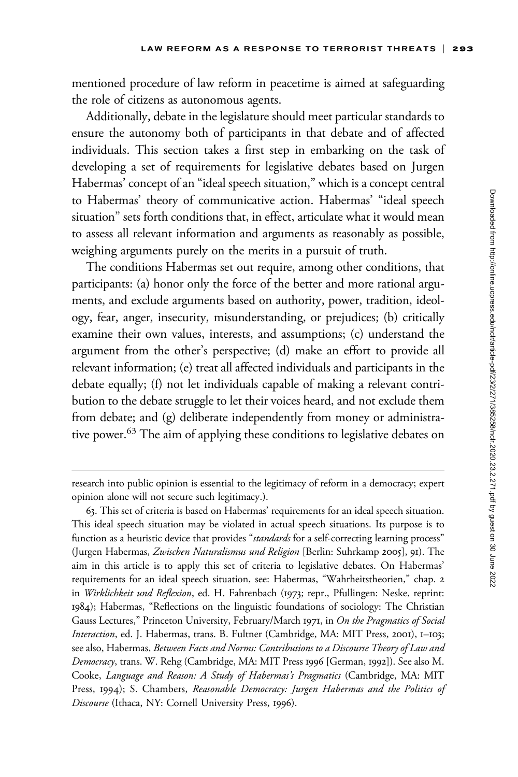mentioned procedure of law reform in peacetime is aimed at safeguarding the role of citizens as autonomous agents.

Additionally, debate in the legislature should meet particular standards to ensure the autonomy both of participants in that debate and of affected individuals. This section takes a first step in embarking on the task of developing a set of requirements for legislative debates based on Jurgen Habermas' concept of an "ideal speech situation," which is a concept central to Habermas' theory of communicative action. Habermas' "ideal speech situation" sets forth conditions that, in effect, articulate what it would mean to assess all relevant information and arguments as reasonably as possible, weighing arguments purely on the merits in a pursuit of truth.

The conditions Habermas set out require, among other conditions, that participants: (a) honor only the force of the better and more rational arguments, and exclude arguments based on authority, power, tradition, ideology, fear, anger, insecurity, misunderstanding, or prejudices; (b) critically examine their own values, interests, and assumptions; (c) understand the argument from the other's perspective; (d) make an effort to provide all relevant information; (e) treat all affected individuals and participants in the debate equally; (f) not let individuals capable of making a relevant contribution to the debate struggle to let their voices heard, and not exclude them from debate; and (g) deliberate independently from money or administrative power.<sup>63</sup> The aim of applying these conditions to legislative debates on

research into public opinion is essential to the legitimacy of reform in a democracy; expert opinion alone will not secure such legitimacy.).

<sup>63.</sup> This set of criteria is based on Habermas' requirements for an ideal speech situation. This ideal speech situation may be violated in actual speech situations. Its purpose is to function as a heuristic device that provides "*standards* for a self-correcting learning process" (Jurgen Habermas, Zwischen Naturalismus und Religion [Berlin: Suhrkamp 2005], 91). The aim in this article is to apply this set of criteria to legislative debates. On Habermas' requirements for an ideal speech situation, see: Habermas, "Wahrheitstheorien," chap. 2 in Wirklichkeit und Reflexion, ed. H. Fahrenbach (1973; repr., Pfullingen: Neske, reprint: 1984); Habermas, "Reflections on the linguistic foundations of sociology: The Christian Gauss Lectures," Princeton University, February/March 1971, in On the Pragmatics of Social Interaction, ed. J. Habermas, trans. B. Fultner (Cambridge, MA: MIT Press, 2001), 1-103; see also, Habermas, Between Facts and Norms: Contributions to a Discourse Theory of Law and Democracy, trans. W. Rehg (Cambridge, MA: MIT Press 1996 [German, 1992]). See also M. Cooke, Language and Reason: A Study of Habermas's Pragmatics (Cambridge, MA: MIT Press, 1994); S. Chambers, Reasonable Democracy: Jurgen Habermas and the Politics of Discourse (Ithaca, NY: Cornell University Press, 1996).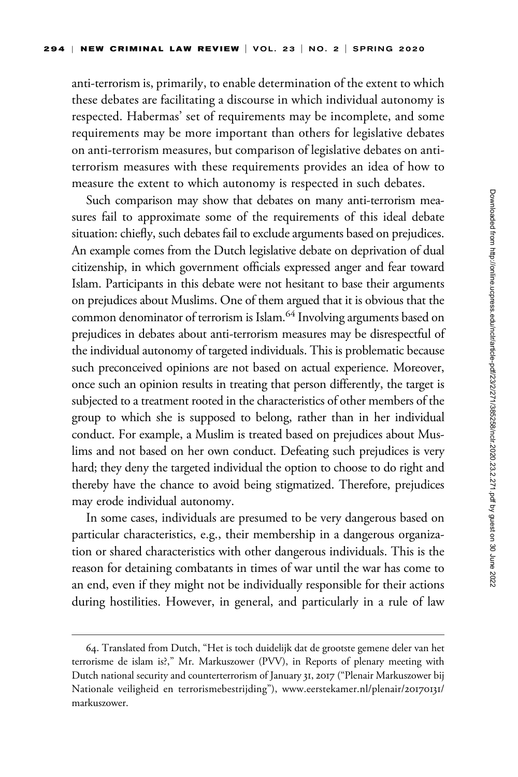anti-terrorism is, primarily, to enable determination of the extent to which these debates are facilitating a discourse in which individual autonomy is respected. Habermas' set of requirements may be incomplete, and some requirements may be more important than others for legislative debates on anti-terrorism measures, but comparison of legislative debates on antiterrorism measures with these requirements provides an idea of how to measure the extent to which autonomy is respected in such debates.

Such comparison may show that debates on many anti-terrorism measures fail to approximate some of the requirements of this ideal debate situation: chiefly, such debates fail to exclude arguments based on prejudices. An example comes from the Dutch legislative debate on deprivation of dual citizenship, in which government officials expressed anger and fear toward Islam. Participants in this debate were not hesitant to base their arguments on prejudices about Muslims. One of them argued that it is obvious that the common denominator of terrorism is Islam.<sup>64</sup> Involving arguments based on prejudices in debates about anti-terrorism measures may be disrespectful of the individual autonomy of targeted individuals. This is problematic because such preconceived opinions are not based on actual experience. Moreover, once such an opinion results in treating that person differently, the target is subjected to a treatment rooted in the characteristics of other members of the group to which she is supposed to belong, rather than in her individual conduct. For example, a Muslim is treated based on prejudices about Muslims and not based on her own conduct. Defeating such prejudices is very hard; they deny the targeted individual the option to choose to do right and thereby have the chance to avoid being stigmatized. Therefore, prejudices may erode individual autonomy.

In some cases, individuals are presumed to be very dangerous based on particular characteristics, e.g., their membership in a dangerous organization or shared characteristics with other dangerous individuals. This is the reason for detaining combatants in times of war until the war has come to an end, even if they might not be individually responsible for their actions during hostilities. However, in general, and particularly in a rule of law

<sup>64.</sup> Translated from Dutch, "Het is toch duidelijk dat de grootste gemene deler van het terrorisme de islam is?," Mr. Markuszower (PVV), in Reports of plenary meeting with Dutch national security and counterterrorism of January 31, 2017 ("Plenair Markuszower bij Nationale veiligheid en terrorismebestrijding"), [www.eerstekamer.nl/plenair/](www.eerstekamer.nl/plenair/20170131/markuszower)20170131/ [markuszower.](www.eerstekamer.nl/plenair/20170131/markuszower)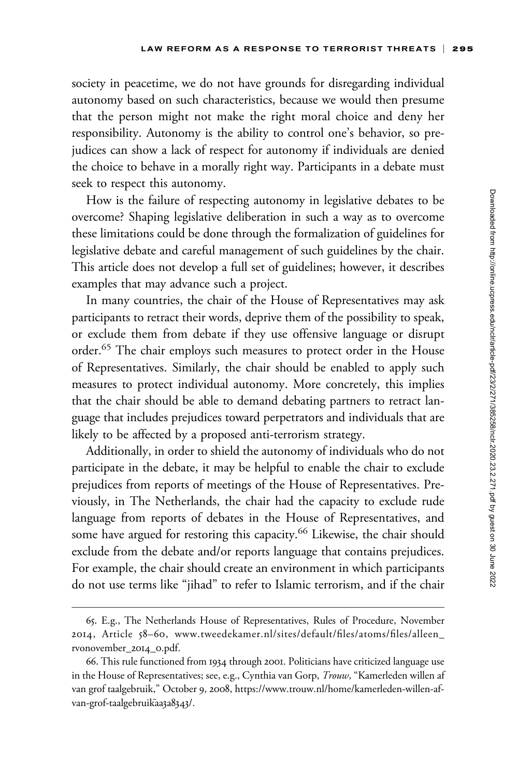society in peacetime, we do not have grounds for disregarding individual autonomy based on such characteristics, because we would then presume that the person might not make the right moral choice and deny her responsibility. Autonomy is the ability to control one's behavior, so prejudices can show a lack of respect for autonomy if individuals are denied the choice to behave in a morally right way. Participants in a debate must seek to respect this autonomy.

How is the failure of respecting autonomy in legislative debates to be overcome? Shaping legislative deliberation in such a way as to overcome these limitations could be done through the formalization of guidelines for legislative debate and careful management of such guidelines by the chair. This article does not develop a full set of guidelines; however, it describes examples that may advance such a project.

In many countries, the chair of the House of Representatives may ask participants to retract their words, deprive them of the possibility to speak, or exclude them from debate if they use offensive language or disrupt order.<sup>65</sup> The chair employs such measures to protect order in the House of Representatives. Similarly, the chair should be enabled to apply such measures to protect individual autonomy. More concretely, this implies that the chair should be able to demand debating partners to retract language that includes prejudices toward perpetrators and individuals that are likely to be affected by a proposed anti-terrorism strategy.

Additionally, in order to shield the autonomy of individuals who do not participate in the debate, it may be helpful to enable the chair to exclude prejudices from reports of meetings of the House of Representatives. Previously, in The Netherlands, the chair had the capacity to exclude rude language from reports of debates in the House of Representatives, and some have argued for restoring this capacity.<sup>66</sup> Likewise, the chair should exclude from the debate and/or reports language that contains prejudices. For example, the chair should create an environment in which participants do not use terms like "jihad" to refer to Islamic terrorism, and if the chair

<sup>65.</sup> E.g., The Netherlands House of Representatives, Rules of Procedure, November 2014, Article 58–60, [www.tweedekamer.nl/sites/default/files/atoms/files/alleen\\_](www.tweedekamer.nl/sites/default/files/atoms/files/alleen_rvonovember_2014_0.pdf) [rvonovember\\_](www.tweedekamer.nl/sites/default/files/atoms/files/alleen_rvonovember_2014_0.pdf)2014\_0.pdf.

<sup>66.</sup> This rule functioned from 1934 through 2001. Politicians have criticized language use in the House of Representatives; see, e.g., Cynthia van Gorp, Trouw, "Kamerleden willen af van grof taalgebruik," October 9, 2008, [https://www.trouw.nl/home/kamerleden-willen-af](https://www.trouw.nl/home/kamerleden-willen-af-van-grof-taalgebruik˜aa3a8343/)[van-grof-taalgebruik](https://www.trouw.nl/home/kamerleden-willen-af-van-grof-taalgebruik˜aa3a8343/)aa3a[8343](https://www.trouw.nl/home/kamerleden-willen-af-van-grof-taalgebruik˜aa3a8343/)/.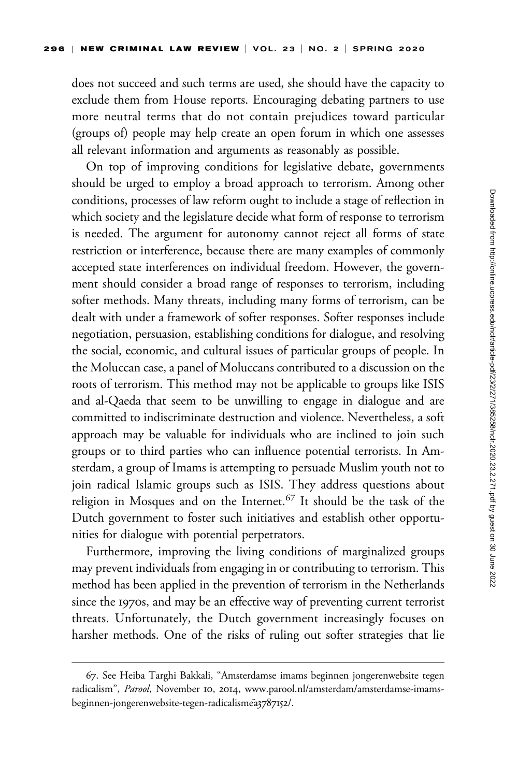does not succeed and such terms are used, she should have the capacity to exclude them from House reports. Encouraging debating partners to use more neutral terms that do not contain prejudices toward particular (groups of) people may help create an open forum in which one assesses all relevant information and arguments as reasonably as possible.

On top of improving conditions for legislative debate, governments should be urged to employ a broad approach to terrorism. Among other conditions, processes of law reform ought to include a stage of reflection in which society and the legislature decide what form of response to terrorism is needed. The argument for autonomy cannot reject all forms of state restriction or interference, because there are many examples of commonly accepted state interferences on individual freedom. However, the government should consider a broad range of responses to terrorism, including softer methods. Many threats, including many forms of terrorism, can be dealt with under a framework of softer responses. Softer responses include negotiation, persuasion, establishing conditions for dialogue, and resolving the social, economic, and cultural issues of particular groups of people. In the Moluccan case, a panel of Moluccans contributed to a discussion on the roots of terrorism. This method may not be applicable to groups like ISIS and al-Qaeda that seem to be unwilling to engage in dialogue and are committed to indiscriminate destruction and violence. Nevertheless, a soft approach may be valuable for individuals who are inclined to join such groups or to third parties who can influence potential terrorists. In Amsterdam, a group of Imams is attempting to persuade Muslim youth not to join radical Islamic groups such as ISIS. They address questions about religion in Mosques and on the Internet.<sup>67</sup> It should be the task of the Dutch government to foster such initiatives and establish other opportunities for dialogue with potential perpetrators.

Furthermore, improving the living conditions of marginalized groups may prevent individuals from engaging in or contributing to terrorism. This method has been applied in the prevention of terrorism in the Netherlands since the 1970s, and may be an effective way of preventing current terrorist threats. Unfortunately, the Dutch government increasingly focuses on harsher methods. One of the risks of ruling out softer strategies that lie

<sup>67.</sup> See Heiba Targhi Bakkali, "Amsterdamse imams beginnen jongerenwebsite tegen radicalism", Parool, November 10, 2014, [www.parool.nl/amsterdam/amsterdamse-imams](www.parool.nl/amsterdam/amsterdamse-imams-beginnen-jongerenwebsite-tegen-radicalisme˜a3787152/)[beginnen-jongerenwebsite-tegen-radicalisme](www.parool.nl/amsterdam/amsterdamse-imams-beginnen-jongerenwebsite-tegen-radicalisme˜a3787152/)a[3787152](www.parool.nl/amsterdam/amsterdamse-imams-beginnen-jongerenwebsite-tegen-radicalisme˜a3787152/)/.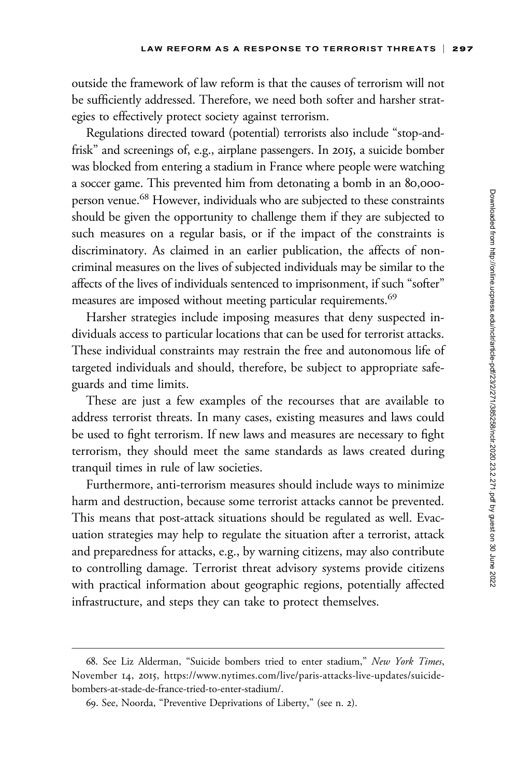outside the framework of law reform is that the causes of terrorism will not be sufficiently addressed. Therefore, we need both softer and harsher strategies to effectively protect society against terrorism.

Regulations directed toward (potential) terrorists also include "stop-andfrisk" and screenings of, e.g., airplane passengers. In 2015, a suicide bomber was blocked from entering a stadium in France where people were watching a soccer game. This prevented him from detonating a bomb in an 80,000 person venue.68 However, individuals who are subjected to these constraints should be given the opportunity to challenge them if they are subjected to such measures on a regular basis, or if the impact of the constraints is discriminatory. As claimed in an earlier publication, the affects of noncriminal measures on the lives of subjected individuals may be similar to the affects of the lives of individuals sentenced to imprisonment, if such "softer" measures are imposed without meeting particular requirements.<sup>69</sup>

Harsher strategies include imposing measures that deny suspected individuals access to particular locations that can be used for terrorist attacks. These individual constraints may restrain the free and autonomous life of targeted individuals and should, therefore, be subject to appropriate safeguards and time limits.

These are just a few examples of the recourses that are available to address terrorist threats. In many cases, existing measures and laws could be used to fight terrorism. If new laws and measures are necessary to fight terrorism, they should meet the same standards as laws created during tranquil times in rule of law societies.

Furthermore, anti-terrorism measures should include ways to minimize harm and destruction, because some terrorist attacks cannot be prevented. This means that post-attack situations should be regulated as well. Evacuation strategies may help to regulate the situation after a terrorist, attack and preparedness for attacks, e.g., by warning citizens, may also contribute to controlling damage. Terrorist threat advisory systems provide citizens with practical information about geographic regions, potentially affected infrastructure, and steps they can take to protect themselves.

<sup>68.</sup> See Liz Alderman, "Suicide bombers tried to enter stadium," New York Times, November 14, 2015, [https://www.nytimes.com/live/paris-attacks-live-updates/suicide](https://www.nytimes.com/live/paris-attacks-live-updates/suicide-bombers-at-stade-de-france-tried-to-enter-stadium/)[bombers-at-stade-de-france-tried-to-enter-stadium/.](https://www.nytimes.com/live/paris-attacks-live-updates/suicide-bombers-at-stade-de-france-tried-to-enter-stadium/)

<sup>69.</sup> See, Noorda, "Preventive Deprivations of Liberty," (see n. 2).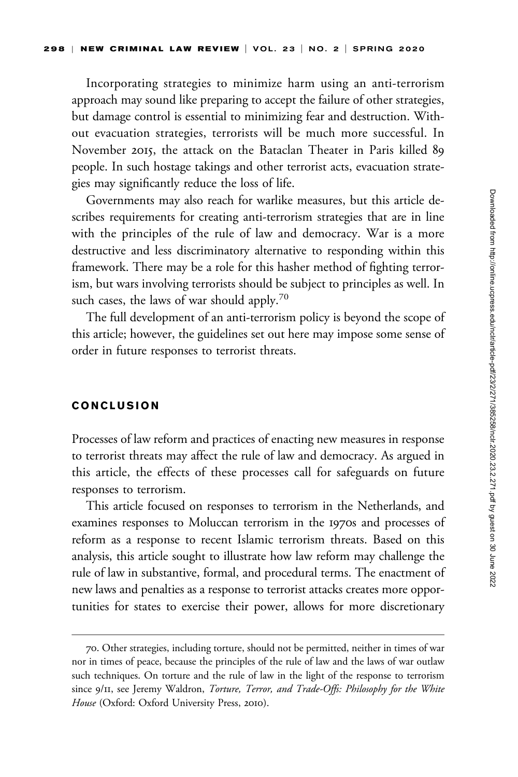Incorporating strategies to minimize harm using an anti-terrorism approach may sound like preparing to accept the failure of other strategies, but damage control is essential to minimizing fear and destruction. Without evacuation strategies, terrorists will be much more successful. In November 2015, the attack on the Bataclan Theater in Paris killed 89 people. In such hostage takings and other terrorist acts, evacuation strategies may significantly reduce the loss of life.

Governments may also reach for warlike measures, but this article describes requirements for creating anti-terrorism strategies that are in line with the principles of the rule of law and democracy. War is a more destructive and less discriminatory alternative to responding within this framework. There may be a role for this hasher method of fighting terrorism, but wars involving terrorists should be subject to principles as well. In such cases, the laws of war should apply.<sup>70</sup>

The full development of an anti-terrorism policy is beyond the scope of this article; however, the guidelines set out here may impose some sense of order in future responses to terrorist threats.

#### CONCLUSION

Processes of law reform and practices of enacting new measures in response to terrorist threats may affect the rule of law and democracy. As argued in this article, the effects of these processes call for safeguards on future responses to terrorism.

This article focused on responses to terrorism in the Netherlands, and examines responses to Moluccan terrorism in the 1970s and processes of reform as a response to recent Islamic terrorism threats. Based on this analysis, this article sought to illustrate how law reform may challenge the rule of law in substantive, formal, and procedural terms. The enactment of new laws and penalties as a response to terrorist attacks creates more opportunities for states to exercise their power, allows for more discretionary

<sup>70.</sup> Other strategies, including torture, should not be permitted, neither in times of war nor in times of peace, because the principles of the rule of law and the laws of war outlaw such techniques. On torture and the rule of law in the light of the response to terrorism since 9/11, see Jeremy Waldron, Torture, Terror, and Trade-Offs: Philosophy for the White House (Oxford: Oxford University Press, 2010).